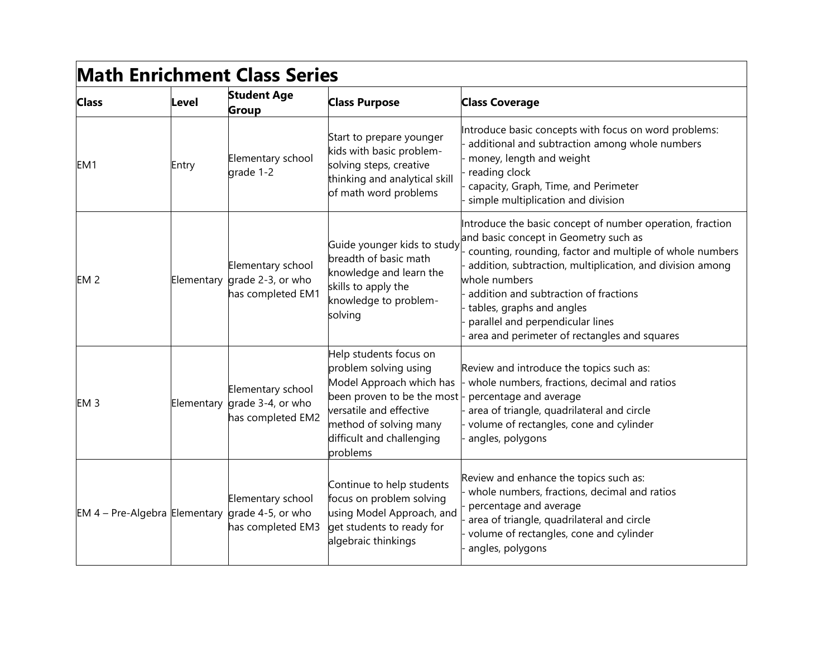| <b>Math Enrichment Class Series</b>             |       |                                                                        |                                                                                                                                                                                                                                  |                                                                                                                                                                                                                                                                                                                                                                                                        |
|-------------------------------------------------|-------|------------------------------------------------------------------------|----------------------------------------------------------------------------------------------------------------------------------------------------------------------------------------------------------------------------------|--------------------------------------------------------------------------------------------------------------------------------------------------------------------------------------------------------------------------------------------------------------------------------------------------------------------------------------------------------------------------------------------------------|
| <b>Class</b>                                    | Level | <b>Student Age</b><br><b>Group</b>                                     | <b>Class Purpose</b>                                                                                                                                                                                                             | <b>Class Coverage</b>                                                                                                                                                                                                                                                                                                                                                                                  |
| EM <sub>1</sub>                                 | Entry | Elementary school<br>grade 1-2                                         | Start to prepare younger<br>kids with basic problem-<br>solving steps, creative<br>thinking and analytical skill<br>of math word problems                                                                                        | Introduce basic concepts with focus on word problems:<br>additional and subtraction among whole numbers<br>money, length and weight<br>reading clock<br>capacity, Graph, Time, and Perimeter<br>simple multiplication and division                                                                                                                                                                     |
| EM <sub>2</sub>                                 |       | Elementary school<br>Elementary grade 2-3, or who<br>has completed EM1 | Guide younger kids to study<br>breadth of basic math<br>knowledge and learn the<br>skills to apply the<br>knowledge to problem-<br>solving                                                                                       | Introduce the basic concept of number operation, fraction<br>and basic concept in Geometry such as<br>counting, rounding, factor and multiple of whole numbers<br>addition, subtraction, multiplication, and division among<br>whole numbers<br>addition and subtraction of fractions<br>tables, graphs and angles<br>parallel and perpendicular lines<br>area and perimeter of rectangles and squares |
| EM <sub>3</sub>                                 |       | Elementary school<br>Elementary grade 3-4, or who<br>has completed EM2 | Help students focus on<br>problem solving using<br>Model Approach which has<br>been proven to be the most - percentage and average<br>versatile and effective<br>method of solving many<br>difficult and challenging<br>problems | Review and introduce the topics such as:<br>whole numbers, fractions, decimal and ratios<br>area of triangle, quadrilateral and circle<br>volume of rectangles, cone and cylinder<br>angles, polygons                                                                                                                                                                                                  |
| EM 4 – Pre-Algebra Elementary grade 4-5, or who |       | Elementary school<br>has completed EM3                                 | Continue to help students<br>focus on problem solving<br>using Model Approach, and<br>get students to ready for<br>algebraic thinkings                                                                                           | Review and enhance the topics such as:<br>whole numbers, fractions, decimal and ratios<br>percentage and average<br>area of triangle, quadrilateral and circle<br>volume of rectangles, cone and cylinder<br>angles, polygons                                                                                                                                                                          |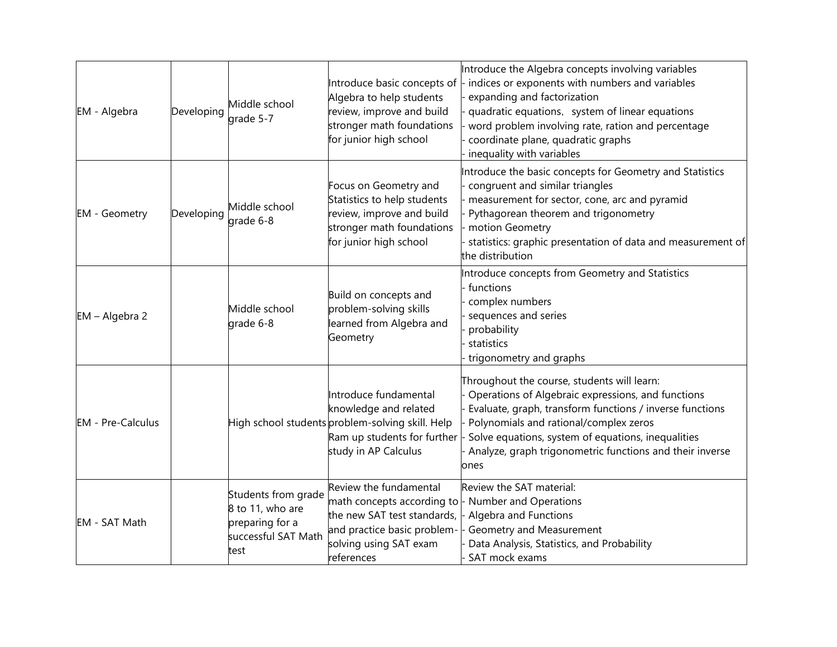| EM - Algebra             | Developing | Middle school<br>grade 5-7                                                                | Introduce basic concepts of<br>Algebra to help students<br>review, improve and build<br>stronger math foundations<br>for junior high school                                          | Introduce the Algebra concepts involving variables<br>indices or exponents with numbers and variables<br>expanding and factorization<br>quadratic equations, system of linear equations<br>word problem involving rate, ration and percentage<br>coordinate plane, quadratic graphs<br>inequality with variables                  |
|--------------------------|------------|-------------------------------------------------------------------------------------------|--------------------------------------------------------------------------------------------------------------------------------------------------------------------------------------|-----------------------------------------------------------------------------------------------------------------------------------------------------------------------------------------------------------------------------------------------------------------------------------------------------------------------------------|
| <b>EM</b> - Geometry     | Developing | Middle school<br>grade 6-8                                                                | Focus on Geometry and<br>Statistics to help students<br>review, improve and build<br>stronger math foundations<br>for junior high school                                             | Introduce the basic concepts for Geometry and Statistics<br>congruent and similar triangles<br>measurement for sector, cone, arc and pyramid<br>Pythagorean theorem and trigonometry<br>motion Geometry<br>statistics: graphic presentation of data and measurement of<br>the distribution                                        |
| EM - Algebra 2           |            | Middle school<br>grade 6-8                                                                | Build on concepts and<br>problem-solving skills<br>learned from Algebra and<br>Geometry                                                                                              | Introduce concepts from Geometry and Statistics<br>- functions<br>complex numbers<br>sequences and series<br>probability<br>statistics<br>trigonometry and graphs                                                                                                                                                                 |
| <b>EM</b> - Pre-Calculus |            |                                                                                           | Introduce fundamental<br>knowledge and related<br>High school students problem-solving skill. Help<br>Ram up students for further<br>study in AP Calculus                            | Throughout the course, students will learn:<br>Operations of Algebraic expressions, and functions<br>Evaluate, graph, transform functions / inverse functions<br>Polynomials and rational/complex zeros<br>Solve equations, system of equations, inequalities<br>Analyze, graph trigonometric functions and their inverse<br>ones |
| EM - SAT Math            |            | Students from grade<br>8 to 11, who are<br>preparing for a<br>successful SAT Math<br>test | Review the fundamental<br>math concepts according to - Number and Operations<br>the new SAT test standards, -<br>and practice basic problem-<br>solving using SAT exam<br>references | Review the SAT material:<br>Algebra and Functions<br>Geometry and Measurement<br>Data Analysis, Statistics, and Probability<br>SAT mock exams                                                                                                                                                                                     |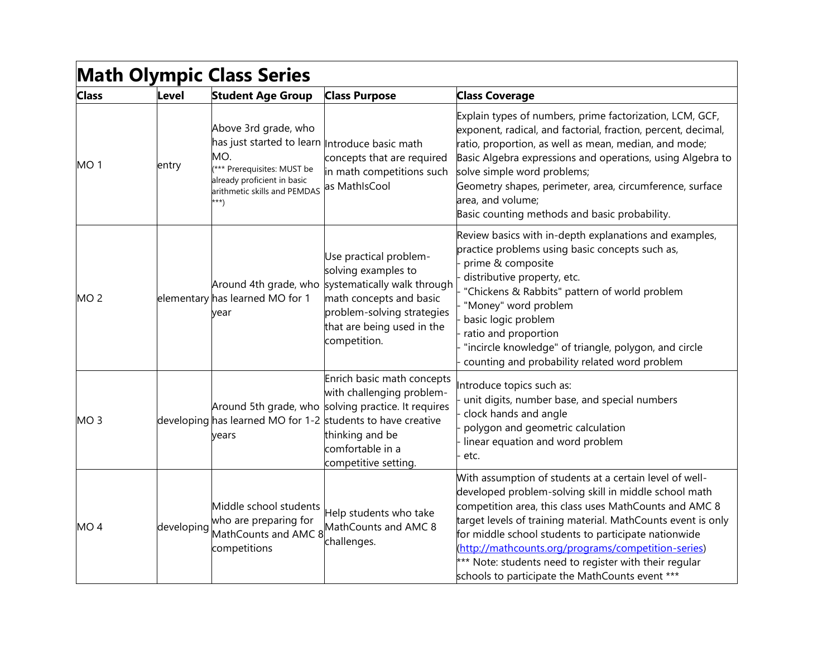| <b>Math Olympic Class Series</b> |            |                                                                                                                                                                                    |                                                                                                                                                                                                                                              |                                                                                                                                                                                                                                                                                                                                                                                                                                                                        |  |
|----------------------------------|------------|------------------------------------------------------------------------------------------------------------------------------------------------------------------------------------|----------------------------------------------------------------------------------------------------------------------------------------------------------------------------------------------------------------------------------------------|------------------------------------------------------------------------------------------------------------------------------------------------------------------------------------------------------------------------------------------------------------------------------------------------------------------------------------------------------------------------------------------------------------------------------------------------------------------------|--|
| <b>Class</b>                     | Level      | <b>Student Age Group</b>                                                                                                                                                           | <b>Class Purpose</b>                                                                                                                                                                                                                         | <b>Class Coverage</b>                                                                                                                                                                                                                                                                                                                                                                                                                                                  |  |
| MO <sub>1</sub>                  | entry      | Above 3rd grade, who<br>has just started to learn Introduce basic math<br>MO.<br>(*** Prerequisites: MUST be<br>already proficient in basic<br>arithmetic skills and PEMDAS<br>**) | concepts that are required<br>in math competitions such<br>as MathIsCool                                                                                                                                                                     | Explain types of numbers, prime factorization, LCM, GCF,<br>exponent, radical, and factorial, fraction, percent, decimal,<br>ratio, proportion, as well as mean, median, and mode;<br>Basic Algebra expressions and operations, using Algebra to<br>solve simple word problems;<br>Geometry shapes, perimeter, area, circumference, surface<br>area, and volume;<br>Basic counting methods and basic probability.                                                      |  |
| MO <sub>2</sub>                  |            | elementary has learned MO for 1<br>vear                                                                                                                                            | Use practical problem-<br>solving examples to<br>Around 4th grade, who systematically walk through<br>math concepts and basic<br>problem-solving strategies<br>that are being used in the<br>competition.                                    | Review basics with in-depth explanations and examples,<br>practice problems using basic concepts such as,<br>prime & composite<br>distributive property, etc.<br>"Chickens & Rabbits" pattern of world problem<br>"Money" word problem<br>basic logic problem<br>ratio and proportion<br>"incircle knowledge" of triangle, polygon, and circle<br>counting and probability related word problem                                                                        |  |
| MO <sub>3</sub>                  |            | years                                                                                                                                                                              | Enrich basic math concepts<br>with challenging problem-<br>Around 5th grade, who solving practice. It requires<br>developing has learned MO for 1-2 students to have creative<br>thinking and be<br>comfortable in a<br>competitive setting. | Introduce topics such as:<br>unit digits, number base, and special numbers<br>clock hands and angle<br>polygon and geometric calculation<br>linear equation and word problem<br>etc.                                                                                                                                                                                                                                                                                   |  |
| MO <sub>4</sub>                  | developing | Middle school students<br>who are preparing for<br>MathCounts and AMC 8<br>competitions                                                                                            | Help students who take<br>MathCounts and AMC 8<br>challenges.                                                                                                                                                                                | With assumption of students at a certain level of well-<br>developed problem-solving skill in middle school math<br>competition area, this class uses MathCounts and AMC 8<br>target levels of training material. MathCounts event is only<br>for middle school students to participate nationwide<br>(http://mathcounts.org/programs/competition-series)<br>*** Note: students need to register with their regular<br>schools to participate the MathCounts event *** |  |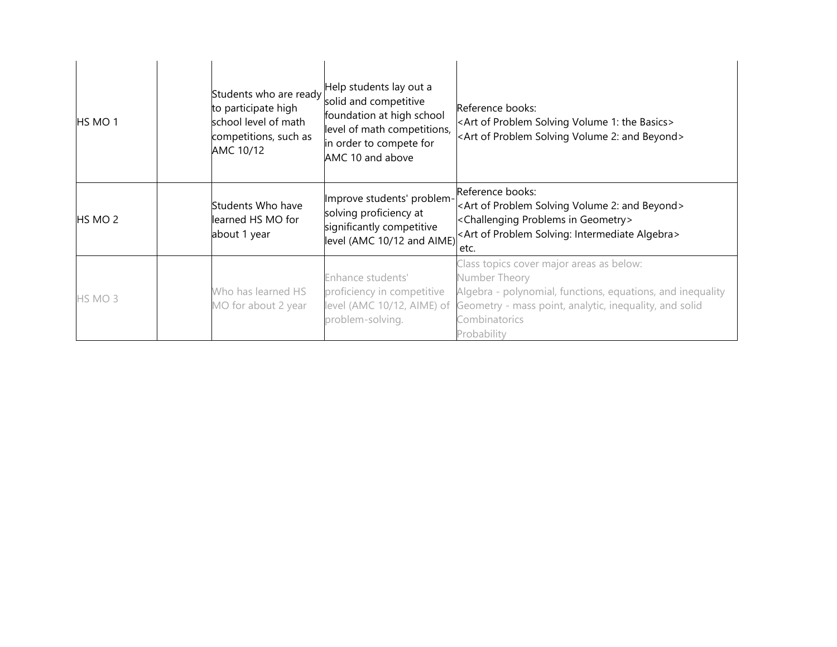| HS MO 1 | Students who are ready<br>to participate high<br>school level of math<br>competitions, such as<br>AMC 10/12 | Help students lay out a<br>solid and competitive<br>foundation at high school<br>level of math competitions,<br>in order to compete for<br>AMC 10 and above | Reference books:<br><art 1:="" basics="" of="" problem="" solving="" the="" volume=""><br/><art 2:="" and="" beyond="" of="" problem="" solving="" volume=""></art></art>                                                                    |
|---------|-------------------------------------------------------------------------------------------------------------|-------------------------------------------------------------------------------------------------------------------------------------------------------------|----------------------------------------------------------------------------------------------------------------------------------------------------------------------------------------------------------------------------------------------|
| HS MO 2 | Students Who have<br>learned HS MO for<br>about 1 year                                                      | Improve students' problem-<br>solving proficiency at<br>significantly competitive<br>level (AMC 10/12 and AIME)                                             | Reference books:<br><art 2:="" and="" beyond="" of="" problem="" solving="" volume=""><br/><challenging geometry="" in="" problems=""><br/><art algebra="" intermediate="" of="" problem="" solving:=""><br/>etc.</art></challenging></art>  |
| HS MO 3 | Who has learned HS<br>MO for about 2 year                                                                   | Enhance students'<br>proficiency in competitive<br>problem-solving.                                                                                         | Class topics cover major areas as below:<br>Number Theory<br>Algebra - polynomial, functions, equations, and inequality<br>level (AMC 10/12, AIME) of Geometry - mass point, analytic, inequality, and solid<br>Combinatorics<br>Probability |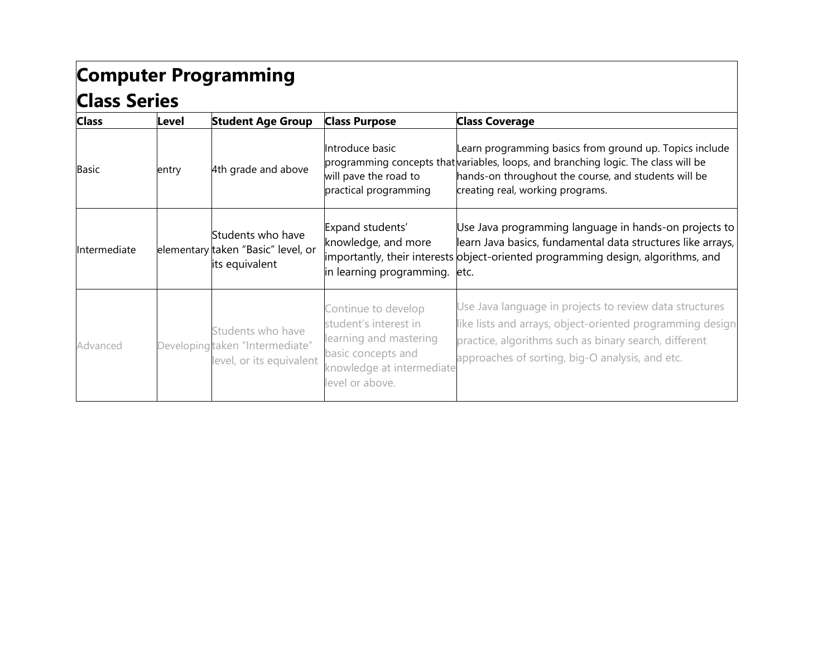## **Computer Programming Class Series**

| <b>Class</b> | Level | <b>Student Age Group</b>                                                         | <b>Class Purpose</b>                                                                                                                         | <b>Class Coverage</b>                                                                                                                                                                                                                     |
|--------------|-------|----------------------------------------------------------------------------------|----------------------------------------------------------------------------------------------------------------------------------------------|-------------------------------------------------------------------------------------------------------------------------------------------------------------------------------------------------------------------------------------------|
| <b>Basic</b> | entry | 4th grade and above                                                              | Introduce basic<br>will pave the road to<br>practical programming                                                                            | Learn programming basics from ground up. Topics include<br>programming concepts that variables, loops, and branching logic. The class will be<br>hands-on throughout the course, and students will be<br>creating real, working programs. |
| Intermediate |       | Students who have<br>elementary taken "Basic" level, or<br>its equivalent        | Expand students'<br>knowledge, and more<br>in learning programming.                                                                          | Use Java programming language in hands-on projects to<br>learn Java basics, fundamental data structures like arrays,<br>importantly, their interests object-oriented programming design, algorithms, and<br>etc.                          |
| Advanced     |       | Students who have<br>Developing taken "Intermediate"<br>level, or its equivalent | Continue to develop<br>student's interest in<br>learning and mastering<br>basic concepts and<br>knowledge at intermediate<br>level or above. | Use Java language in projects to review data structures<br>like lists and arrays, object-oriented programming design<br>practice, algorithms such as binary search, different<br>approaches of sorting, big-O analysis, and etc.          |